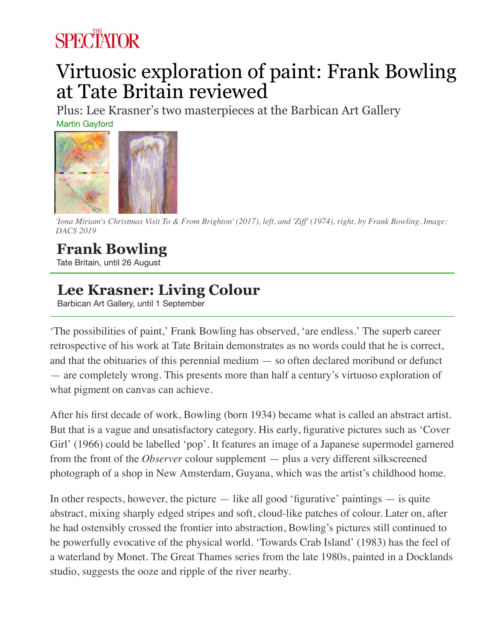## **SPECTATOR**

## Virtuosic exploration of paint: Frank Bowling at Tate Britain reviewed

Plus: Lee Krasner's two masterpieces at the Barbican Art Gallery

Martin Gayford



*'Iona Miriam's Christmas Visit To & From Brighton' (2017), left, and 'Ziff' (1974), right, by Frank Bowling. Image: DACS 2019*

## **Frank Bowling**

Tate Britain, until 26 August

## **Lee Krasner: Living Colour**

Barbican Art Gallery, until 1 September

'The possibilities of paint,' Frank Bowling has observed, 'are endless.' The superb career retrospective of his work at Tate Britain demonstrates as no words could that he is correct, and that the obituaries of this perennial medium — so often declared moribund or defunct — are completely wrong. This presents more than half a century's virtuoso exploration of what pigment on canvas can achieve.

After his first decade of work, Bowling (born 1934) became what is called an abstract artist. But that is a vague and unsatisfactory category. His early, figurative pictures such as 'Cover Girl' (1966) could be labelled 'pop'. It features an image of a Japanese supermodel garnered from the front of the *Observer* colour supplement — plus a very different silkscreened photograph of a shop in New Amsterdam, Guyana, which was the artist's childhood home.

In other respects, however, the picture  $-$  like all good 'figurative' paintings  $-$  is quite abstract, mixing sharply edged stripes and soft, cloud-like patches of colour. Later on, after he had ostensibly crossed the frontier into abstraction, Bowling's pictures still continued to be powerfully evocative of the physical world. 'Towards Crab Island' (1983) has the feel of a waterland by Monet. The Great Thames series from the late 1980s, painted in a Docklands studio, suggests the ooze and ripple of the river nearby.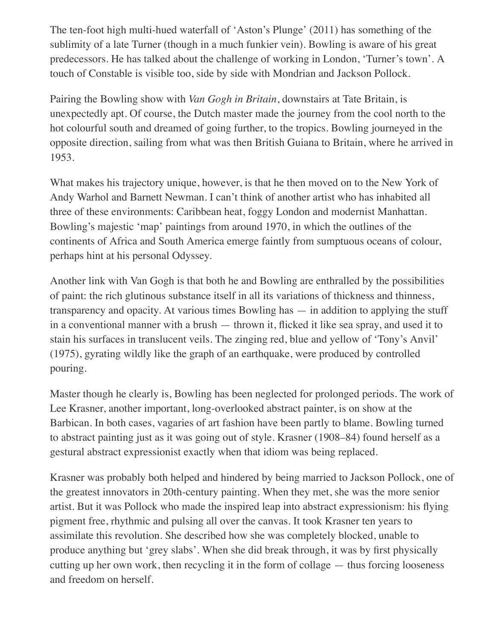The ten-foot high multi-hued waterfall of 'Aston's Plunge' (2011) has something of the sublimity of a late Turner (though in a much funkier vein). Bowling is aware of his great predecessors. He has talked about the challenge of working in London, 'Turner's town'. A touch of Constable is visible too, side by side with Mondrian and Jackson Pollock.

Pairing the Bowling show with *Van Gogh in Britain*, downstairs at Tate Britain, is unexpectedly apt. Of course, the Dutch master made the journey from the cool north to the hot colourful south and dreamed of going further, to the tropics. Bowling journeyed in the opposite direction, sailing from what was then British Guiana to Britain, where he arrived in 1953.

What makes his trajectory unique, however, is that he then moved on to the New York of Andy Warhol and Barnett Newman. I can't think of another artist who has inhabited all three of these environments: Caribbean heat, foggy London and modernist Manhattan. Bowling's majestic 'map' paintings from around 1970, in which the outlines of the continents of Africa and South America emerge faintly from sumptuous oceans of colour, perhaps hint at his personal Odyssey.

Another link with Van Gogh is that both he and Bowling are enthralled by the possibilities of paint: the rich glutinous substance itself in all its variations of thickness and thinness, transparency and opacity. At various times Bowling has — in addition to applying the stuff in a conventional manner with a brush — thrown it, flicked it like sea spray, and used it to stain his surfaces in translucent veils. The zinging red, blue and yellow of 'Tony's Anvil' (1975), gyrating wildly like the graph of an earthquake, were produced by controlled pouring.

Master though he clearly is, Bowling has been neglected for prolonged periods. The work of Lee Krasner, another important, long-overlooked abstract painter, is on show at the Barbican. In both cases, vagaries of art fashion have been partly to blame. Bowling turned to abstract painting just as it was going out of style. Krasner (1908–84) found herself as a gestural abstract expressionist exactly when that idiom was being replaced.

Krasner was probably both helped and hindered by being married to Jackson Pollock, one of the greatest innovators in 20th-century painting. When they met, she was the more senior artist. But it was Pollock who made the inspired leap into abstract expressionism: his flying pigment free, rhythmic and pulsing all over the canvas. It took Krasner ten years to assimilate this revolution. She described how she was completely blocked, unable to produce anything but 'grey slabs'. When she did break through, it was by first physically cutting up her own work, then recycling it in the form of collage — thus forcing looseness and freedom on herself.